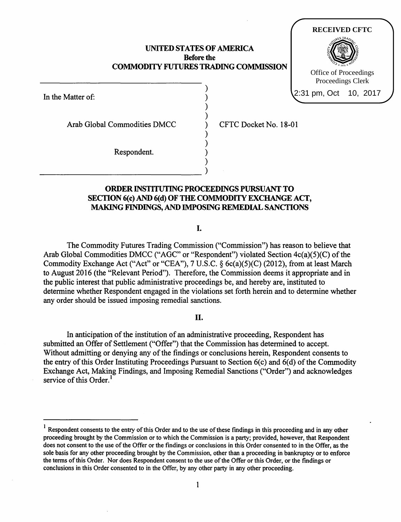## UNITED STATES OF AMERICA Before the COMMODITY FUTURES TRADING COMMISSION

) ) ) ) ) ) ) ) )

In the Matter of:

Arab Global Commodities DMCC

~~~~~~~~~~~)

Respondent.

CFTC Docket No. 18-01

**RECEIVED CFTC**

Office of Proceedings Proceedings Clerk

2:31 pm, Oct 10, 2017

# ORDER INSTITUTING PROCEEDINGS PURSUANT TO SECTION 6(c) AND 6(d) OF THE COMMODITY EXCHANGE ACT, MAKING FINDINGS, AND IMPOSING REMEDIAL SANCTIONS

I.

The Commodity Futures Trading Commission ("Commission") has reason to believe that Arab Global Commodities DMCC ("AGC" or "Respondent") violated Section  $4c(a)(5)(C)$  of the Commodity Exchange Act ("Act" or "CEA"), 7 U.S.C. § 6c(a)(S)(C) (2012), from at least March to August 2016 (the "Relevant Period"). Therefore, the Commission deems it appropriate and in the public interest that public administrative proceedings be, and hereby are, instituted to determine whether Respondent engaged in the violations set forth herein and to determine whether any order should be issued imposing remedial sanctions.

# II.

In anticipation of the institution of an administrative proceeding, Respondent has submitted an Offer of Settlement ("Offer") that the Commission has determined to accept. Without admitting or denying any of the findings or conclusions herein, Respondent consents to the entry of this Order Instituting Proceedings Pursuant to Section  $6(c)$  and  $6(d)$  of the Commodity Exchange Act, Making Findings, and Imposing Remedial Sanctions ("Order") and acknowledges service of this Order.<sup>1</sup>

 $<sup>1</sup>$  Respondent consents to the entry of this Order and to the use of these findings in this proceeding and in any other</sup> proceeding brought by the Commission or to which the Commission is a party; provided, however, that Respondent does not consent to the use of the Offer or the findings or conclusions in this Order consented to in the Offer, as the sole basis for any other proceeding brought by the Commission, other than a proceeding in bankruptcy or to enforce the terms of this Order. Nor does Respondent consent to the use of the Offer or this Order, or the findings or conclusions in this Order consented to in the Offer, by any other party in any other proceeding.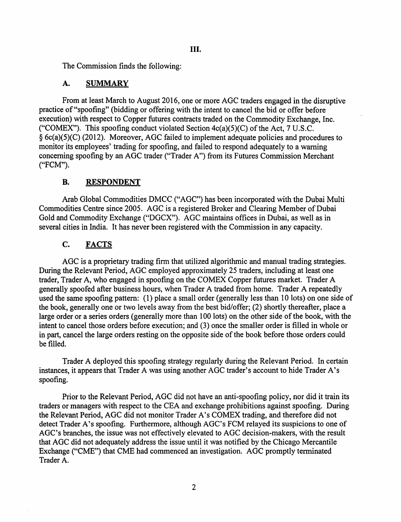The Commission finds the following:

## A. SUMMARY

From at least March to August 2016, one or more AOC traders engaged in the disruptive practice of"spoofing" (bidding or offering with the intent to cancel the bid or offer before execution) with respect to Copper futures contracts traded on the Commodity Exchange, Inc. ("COMEX"). This spoofing conduct violated Section  $4c(a)(5)(C)$  of the Act, 7 U.S.C. § 6c(a)(5)(C) (2012). Moreover, AOC failed to implement adequate policies and procedures to monitor its employees' trading for spoofing, and failed to respond adequately to a warning concerning spoofing by an AOC trader ("Trader A") from its Futures Commission Merchant ("FCM").

## B. RESPONDENT

Arab Global Commodities DMCC ("AOC") has been incorporated with the Dubai Multi Commodities Centre since 2005. AOC is a registered Broker and Clearing Member of Dubai Gold and Commodity Exchange ("DOCX"). AOC maintains offices in Dubai, as well as in several cities in India. It has never been registered with the Commission in any capacity.

# C. FACTS

AOC is a proprietary trading firm that utilized algorithmic and manual trading strategies. During the Relevant Period, AOC employed approximately 25 traders, including at least one trader, Trader A, who engaged in spoofing on the COMEX Copper futures market. Trader A generally spoofed after business hours, when Trader A traded from home. Trader A repeatedly used the same spoofing pattern: (1) place a small order (generally less than 10 lots) on one side of the book, generally one or two levels away from the best bid/offer; (2) shortly thereafter, place a large order or a series orders (generally more than 100 lots) on the other side of the book, with the intent to cancel those orders before execution; and (3) once the smaller order is filled in whole or in part, cancel the large orders resting on the opposite side of the book before those orders could be filled.

Trader A deployed this spoofing strategy regularly during the Relevant Period. In certain instances, it appears that Trader A was using another AOC trader's account to hide Trader A's spoofing.

Prior to the Relevant Period, AOC did not have an anti-spoofing policy, nor did it train its traders or managers with respect to the CEA and exchange prohibitions against spoofing. During the Relevant Period, AOC did not monitor Trader A's COMEX trading, and therefore did not detect Trader A's spoofing. Furthermore, although AGC's FCM relayed its suspicions to one of AGC's branches, the issue was not effectively elevated to AGC decision-makers, with the result that AOC did not adequately address the issue until it was notified by the Chicago Mercantile Exchange ("CME") that CME had commenced an investigation. AGC promptly terminated Trader A.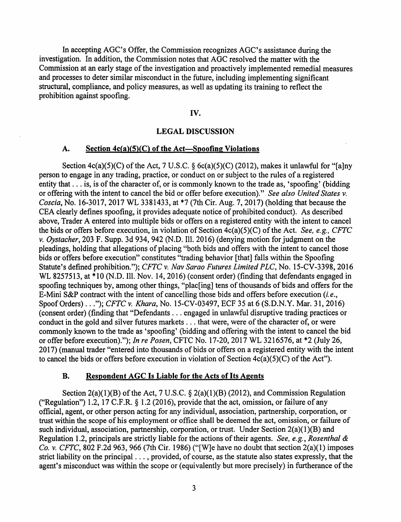In accepting AGC's Offer, the Commission recognizes AGC's assistance during the investigation. In addition, the Commission notes that AOC resolved the matter with the Commission at an early stage of the investigation and proactively implemented remedial measures and processes to deter similar misconduct in the future, including implementing significant structural, compliance, and policy measures, as well as updating its training to reflect the prohibition against spoofing.

# IV.

## LEGAL DISCUSSION

#### A. Section  $4c(a)(5)(C)$  of the Act—Spoofing Violations

Section  $4c(a)(5)(C)$  of the Act, 7 U.S.C. §  $6c(a)(5)(C)$  (2012), makes it unlawful for "[a]ny person to engage in any trading, practice, or conduct on or subject to the rules of a registered entity that  $\dots$  is, is of the character of, or is commonly known to the trade as, 'spoofing' (bidding or offering with the intent to cancel the bid or offer before execution)." *See also United States v. Coscia,* No. 16-3017, 2017 WL 3381433, at \*7 (7th Cir. Aug. 7, 2017) (holding that because the CEA clearly defines spoofing, it provides adequate notice of prohibited conduct). As described above, Trader A entered into multiple bids or offers on a registered entity with the intent to cancel the bids or offers before execution, in violation of Section  $4c(a)(5)(C)$  of the Act. *See, e.g., CFTC v. Oystacher,* 203 F. Supp. 3d 934, 942 (N.D. Ill. 2016) (denying motion for judgment on the pleadings, holding that allegations of placing "both bids and offers with the intent to cancel those bids or offers before execution" constitutes "trading behavior [that] falls within the Spoofing Statute's defined prohibition."); *CFTC v. Nav Sarao Futures Limited PLC,* No. 15-CV-3398, 2016 WL 8257513, at \*10 (N.D. Ill. Nov. 14, 2016) (consent order) (finding that defendants engaged in spoofing techniques by, among other things, "plac[ing] tens of thousands of bids and offers for the E-Mini S&P contract with the intent of cancelling those bids and offers before execution *(i.e.,*  Spoof Orders) ..."); *CFTC v. Khara,* No. 15-CV-03497, ECF 35 at 6 (S.D.N.Y. Mar. 31, 2016) (consent order) (finding that "Defendants ... engaged in unlawful disruptive trading practices or conduct in the gold and silver futures markets  $\dots$  that were, were of the character of, or were commonly known to the trade as 'spoofing' (bidding and offering with the intent to cancel the bid or offer before execution)."); *In re Posen,* CFTC No. 17-20, 2017 WL 3216576, at \*2 (July 26, 2017) (manual trader "entered into thousands of bids or offers on a registered entity with the intent to cancel the bids or offers before execution in violation of Section  $4c(a)(5)(C)$  of the Act").

#### B. Respondent AGC Is Liable for the Acts of Its Agents

Section  $2(a)(1)(B)$  of the Act, 7 U.S.C. §  $2(a)(1)(B)$  (2012), and Commission Regulation ("Regulation") 1.2, 17 C.F.R.  $\S$  1.2 (2016), provide that the act, omission, or failure of any official, agent, or other person acting for any individual, association, partnership, corporation, or trust within the scope of his employment or office shall be deemed the act, omission, or failure of such individual, association, partnership, corporation, or trust. Under Section 2(a)(1)(B) and Regulation 1.2, principals are strictly liable for the actions of their agents. *See, e.g., Rosenthal & Co. v. CFTC,* 802 F.2d 963, 966 (7th Cir. 1986) ("[W]e have no doubt that section 2(a)(l) imposes strict liability on the principal ... , provided, of course, as the statute also states expressly, that the agent's misconduct was within the scope or (equivalently but more precisely) in furtherance of the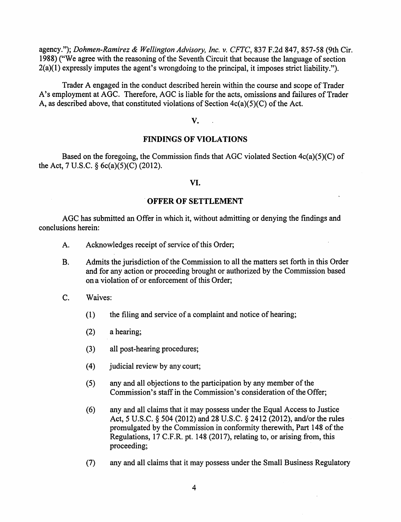agency."); *Dohmen-Ramirez* & *Wellington Advisory, Inc. v.* CFTC, 837 F.2d 847, 857-58 (9th Cir. 1988) ("We agree with the reasoning of the Seventh Circuit that because the language of section 2(a)(l) expressly imputes the agent's wrongdoing to the principal, it imposes strict liability.").

Trader A engaged in the conduct described herein within the course and scope of Trader A's employment at AGC. Therefore, AGC is liable for the acts, omissions and failures of Trader A, as described above, that constituted violations of Section 4c(a)(5)(C) of the Act.

v.

# FINDINGS OF VIOLATIONS

Based on the foregoing, the Commission finds that AOC violated Section 4c(a)(5)(C) of the Act, 7 U.S.C. § 6c(a)(5)(C) (2012).

## VI.

#### .OFFER OF SETTLEMENT

AOC has submitted an Offer in which it, without admitting or denying the findings and conclusions herein:

- A. Acknowledges receipt of service of this Order;
- B. Admits the jurisdiction of the Commission to all the matters set forth in this Order and for any action or proceeding brought or authorized by the Commission based on a violation of or enforcement of this Order;
- C. Waives:
	- (1) the filing and service of a complaint and notice of hearing;
	- $(2)$  a hearing;
	- (3) all post-hearing procedures;
	- (4) judicial review by any court;
	- $(5)$  any and all objections to the participation by any member of the Commission's staff in the Commission's consideration of the Offer;
	- (6) any and all claims that it may possess under the Equal Access to Justice Act, 5 U.S.C. § 504 (2012) and 28 U.S.C. § 2412 (2012), and/or the rules promulgated by the Commission in conformity therewith, Part 148 of the Regulations, 17 C.F.R. pt. 148 (2017), relating to, or arising from, this proceeding;
	- (7) any and all claims that it may possess under the Small Business Regulatory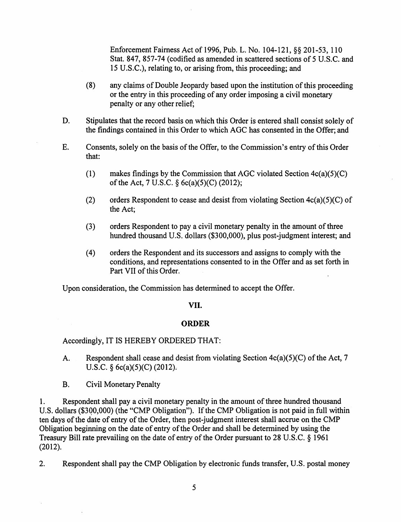Enforcement Fairness Act of 1996, Pub. L. No. 104-121, §§ 201-53, 110 Stat. 847, 857-74 (codified as amended in scattered sections of 5 U.S.C. and 15 U.S.C.), relating to, or arising from, this proceeding; and

- (8) any claims of Double Jeopardy based upon the institution ofthis proceeding or the entry in this proceeding of any order imposing a civil monetary penalty or any other relief;
- D. Stipulates that the record basis on which this Order is entered shall consist solely of the findings contained in this Order to which AOC has consented in the Offer; and
- E. Consents, solely on the basis of the Offer, to the Commission's entry of this Order that:
	- (1) makes findings by the Commission that AGC violated Section  $4c(a)(5)(C)$ of the Act, 7 U.S.C.  $\S$  6c(a)(5)(C) (2012);
	- (2) orders Respondent to cease and desist from violating Section  $4c(a)(5)(C)$  of the Act;
	- (3) orders Respondent to pay a civil monetary penalty in the amount of three hundred thousand U.S. dollars (\$300,000), plus post-judgment interest; and
	- (4) orders the Respondent and its successors and assigns to comply with the conditions, and representations consented to in the Offer and as set forth in Part VII of this Order.

Upon consideration, the Commission has determined to accept the Offer.

## VII.

## **ORDER**

Accordingiy, IT IS HEREBY ORDERED THAT:

- A. Respondent shall cease and desist from violating Section  $4c(a)(5)(C)$  of the Act, 7 U.S.C. § 6c(a)(5)(C) (2012).
- B. Civil Monetary Penalty

1. Respondent shall pay a civil monetary penalty in the amount of three hundred thousand U.S. dollars (\$300,000) (the "CMP Obligation"). If the CMP Obligation is not paid in full within ten days of the date of entry of the Order, then post-judgment interest shall accrue on the CMP Obligation beginning on the date of entry of the Order and shall be determined by using the Treasury Bill rate prevailing on the date of entry of the Order pursuant to 28 U.S.C.  $\S$  1961 (2012).

2. Respondent shall pay the CMP Obligation by electronic funds transfer, U.S. postal money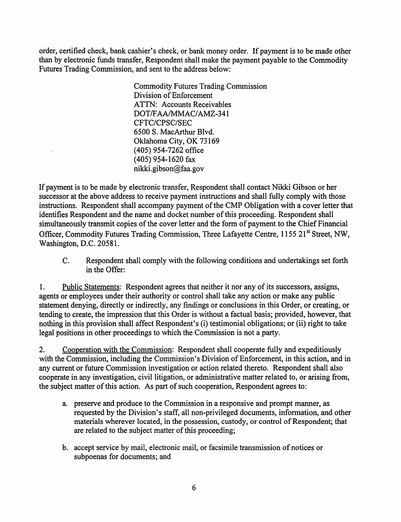order, certified check, bank cashier's check, or bank money order. If payment is to be made other than by electronic funds transfer, Respondent shall make the payment payable to the Commodity Futures Trading Commission, and sent to the address below:

> Commodity Futures Trading Commission Division of Enforcement ATTN: Accounts Receivables DOT/FAAIMMAC/AMZ-341 CFTC/CPSC/SEC 6500 S. MacArthur Blvd. Oklahoma City, OK 73169 (405) 954-7262 office (405) 954-1620 fax nikki.gibson@faa.gov

If payment is to be made by electronic transfer, Respondent shall contact Nikki Gibson or her successor at the above address to receive payment instructions and shall fully comply with those instructions. Respondent shall accompany payment of the CMP Obligation with a cover letter that identifies Respondent and the name and docket number of this proceeding. Respondent shall simultaneously transmit copies of the cover letter and the form of payment to the Chief Financial Officer, Commodity Futures Trading Commission, Three Lafayette Centre, 1155 21st Street, NW, Washington, D.C. 20581.

C. Respondent shall comply with the following conditions and undertakings set forth in the Offer:

1. Public Statements: Respondent agrees that neither it nor any of its successors, assigns, agents or employees under their authority or control shall take any action or make any public statement denying, directly or indirectly, any findings or conclusions in this Order, or creating, or tending to create, the impression that this Order is without a factual basis; provided, however, that nothing in this provision shall affect Respondent's (i) testimonial obligations; or (ii) right to take legal positions in other proceedings to which the Commission is not a party.

2. Cooperation with the Commission: Respondent shall cooperate fully and expeditiously with the Commission, including the Commission's Division of Enforcement, in this action, and in any current or future Commission investigation or action related thereto. Respondent shall also cooperate in any investigation, civil litigation, or administrative matter related to, or arising from, the subject matter of this action. As part of such cooperation, Respondent agrees to:

- a. preserve and produce to the Commission in a responsive and prompt manner, as requested by the Division's staff, all non-privileged documents, information, and other materials wherever located, in the possession, custody, or control of Respondent; that are related to the subject matter of this proceeding;
- b. accept service by mail, electronic mail, or facsimile transmission of notices or subpoenas for documents; and